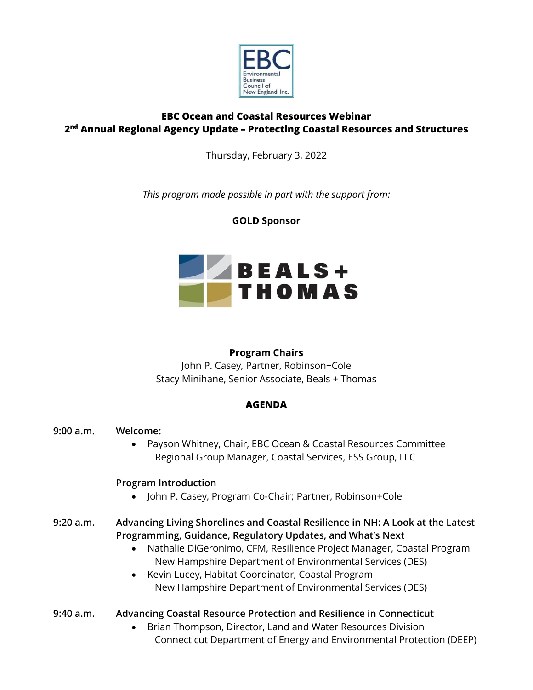

# **EBC Ocean and Coastal Resources Webinar 2 nd Annual Regional Agency Update – Protecting Coastal Resources and Structures**

Thursday, February 3, 2022

*This program made possible in part with the support from:*

# **GOLD Sponsor**



# **Program Chairs**

John P. Casey, Partner, Robinson+Cole Stacy Minihane, Senior Associate, Beals + Thomas

# **AGENDA**

# **9:00 a.m. Welcome:**

• Payson Whitney, Chair, EBC Ocean & Coastal Resources Committee Regional Group Manager, Coastal Services, ESS Group, LLC

# **Program Introduction**

• John P. Casey, Program Co-Chair; Partner, Robinson+Cole

# **9:20 a.m. Advancing Living Shorelines and Coastal Resilience in NH: A Look at the Latest Programming, Guidance, Regulatory Updates, and What's Next**

- Nathalie DiGeronimo, CFM, Resilience Project Manager, Coastal Program New Hampshire Department of Environmental Services (DES)
- Kevin Lucey, Habitat Coordinator, Coastal Program New Hampshire Department of Environmental Services (DES)
- **9:40 a.m. Advancing Coastal Resource Protection and Resilience in Connecticut**
	- Brian Thompson, Director, Land and Water Resources Division Connecticut Department of Energy and Environmental Protection (DEEP)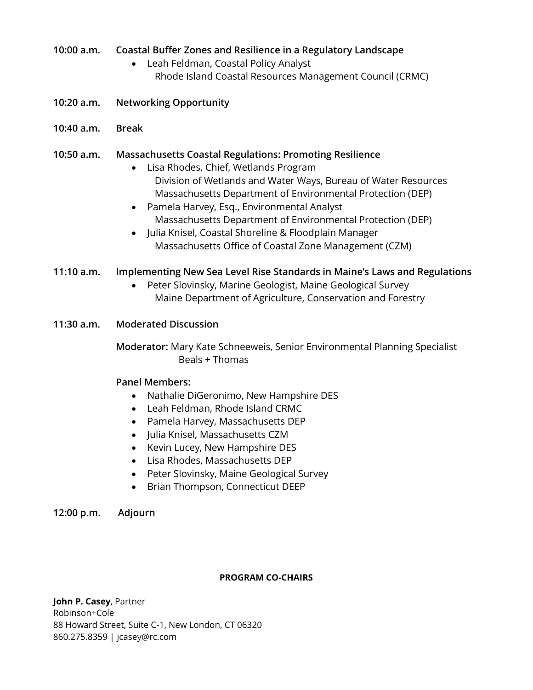## **10:00 a.m. Coastal Buffer Zones and Resilience in a Regulatory Landscape**

- Leah Feldman, Coastal Policy Analyst Rhode Island Coastal Resources Management Council (CRMC)
- **10:20 a.m. Networking Opportunity**
- **10:40 a.m. Break**

### **10:50 a.m. Massachusetts Coastal Regulations: Promoting Resilience**

- Lisa Rhodes, Chief, Wetlands Program Division of Wetlands and Water Ways, Bureau of Water Resources Massachusetts Department of Environmental Protection (DEP)
- Pamela Harvey, Esq., Environmental Analyst Massachusetts Department of Environmental Protection (DEP)
- Julia Knisel, Coastal Shoreline & Floodplain Manager Massachusetts Office of Coastal Zone Management (CZM)

### **11:10 a.m. Implementing New Sea Level Rise Standards in Maine's Laws and Regulations**

• Peter Slovinsky, Marine Geologist, Maine Geological Survey Maine Department of Agriculture, Conservation and Forestry

### **11:30 a.m. Moderated Discussion**

**Moderator:** Mary Kate Schneeweis, Senior Environmental Planning Specialist Beals + Thomas

### **Panel Members:**

- Nathalie DiGeronimo, New Hampshire DES
- Leah Feldman, Rhode Island CRMC
- Pamela Harvey, Massachusetts DEP
- Julia Knisel, Massachusetts CZM
- Kevin Lucey, New Hampshire DES
- Lisa Rhodes, Massachusetts DEP
- Peter Slovinsky, Maine Geological Survey
- Brian Thompson, Connecticut DEEP

### **12:00 p.m. Adjourn**

### **PROGRAM CO-CHAIRS**

**John P. Casey**, Partner Robinson+Cole 88 Howard Street, Suite C-1, New London, CT 06320 860.275.8359 | jcasey@rc.com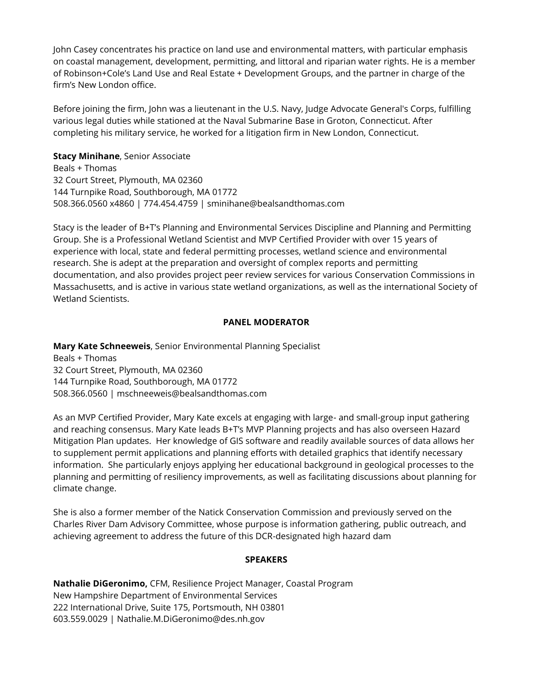John Casey concentrates his practice on land use and environmental matters, with particular emphasis on coastal management, development, permitting, and littoral and riparian water rights. He is a member of Robinson+Cole's Land Use and Real Estate + Development Groups, and the partner in charge of the firm's New London office.

Before joining the firm, John was a lieutenant in the U.S. Navy, Judge Advocate General's Corps, fulfilling various legal duties while stationed at the Naval Submarine Base in Groton, Connecticut. After completing his military service, he worked for a litigation firm in New London, Connecticut.

**Stacy Minihane**, Senior Associate Beals + Thomas 32 Court Street, Plymouth, MA 02360

144 Turnpike Road, Southborough, MA 01772 508.366.0560 x4860 | 774.454.4759 | sminihane@bealsandthomas.com

Stacy is the leader of B+T's Planning and Environmental Services Discipline and Planning and Permitting Group. She is a Professional Wetland Scientist and MVP Certified Provider with over 15 years of experience with local, state and federal permitting processes, wetland science and environmental research. She is adept at the preparation and oversight of complex reports and permitting documentation, and also provides project peer review services for various Conservation Commissions in Massachusetts, and is active in various state wetland organizations, as well as the international Society of Wetland Scientists.

## **PANEL MODERATOR**

**Mary Kate Schneeweis**, Senior Environmental Planning Specialist Beals + Thomas 32 Court Street, Plymouth, MA 02360 144 Turnpike Road, Southborough, MA 01772 508.366.0560 | mschneeweis@bealsandthomas.com

As an MVP Certified Provider, Mary Kate excels at engaging with large- and small-group input gathering and reaching consensus. Mary Kate leads B+T's MVP Planning projects and has also overseen Hazard Mitigation Plan updates. Her knowledge of GIS software and readily available sources of data allows her to supplement permit applications and planning efforts with detailed graphics that identify necessary information. She particularly enjoys applying her educational background in geological processes to the planning and permitting of resiliency improvements, as well as facilitating discussions about planning for climate change.

She is also a former member of the Natick Conservation Commission and previously served on the Charles River Dam Advisory Committee, whose purpose is information gathering, public outreach, and achieving agreement to address the future of this DCR-designated high hazard dam

### **SPEAKERS**

**Nathalie DiGeronimo,** CFM, Resilience Project Manager, Coastal Program New Hampshire Department of Environmental Services 222 International Drive, Suite 175, Portsmouth, NH 03801 603.559.0029 | Nathalie.M.DiGeronimo@des.nh.gov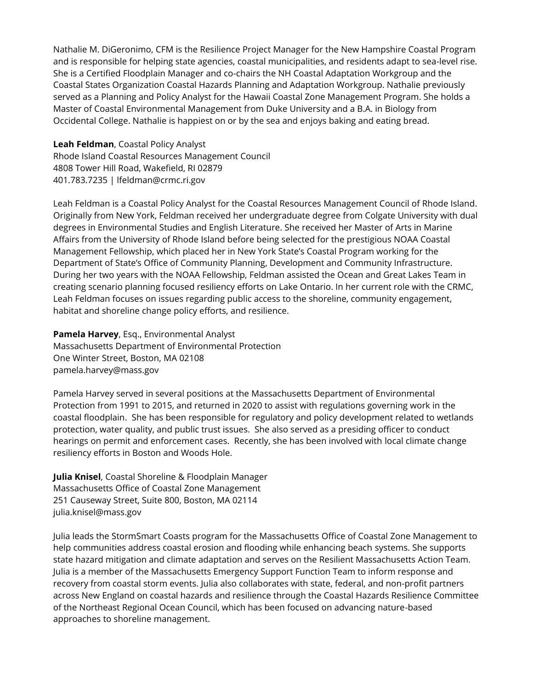Nathalie M. DiGeronimo, CFM is the Resilience Project Manager for the New Hampshire Coastal Program and is responsible for helping state agencies, coastal municipalities, and residents adapt to sea-level rise. She is a Certified Floodplain Manager and co-chairs the NH Coastal Adaptation Workgroup and the Coastal States Organization Coastal Hazards Planning and Adaptation Workgroup. Nathalie previously served as a Planning and Policy Analyst for the Hawaii Coastal Zone Management Program. She holds a Master of Coastal Environmental Management from Duke University and a B.A. in Biology from Occidental College. Nathalie is happiest on or by the sea and enjoys baking and eating bread.

**Leah Feldman**, Coastal Policy Analyst Rhode Island Coastal Resources Management Council 4808 Tower Hill Road, Wakefield, RI 02879 401.783.7235 | lfeldman@crmc.ri.gov

Leah Feldman is a Coastal Policy Analyst for the Coastal Resources Management Council of Rhode Island. Originally from New York, Feldman received her undergraduate degree from Colgate University with dual degrees in Environmental Studies and English Literature. She received her Master of Arts in Marine Affairs from the University of Rhode Island before being selected for the prestigious NOAA Coastal Management Fellowship, which placed her in New York State's Coastal Program working for the Department of State's Office of Community Planning, Development and Community Infrastructure. During her two years with the NOAA Fellowship, Feldman assisted the Ocean and Great Lakes Team in creating scenario planning focused resiliency efforts on Lake Ontario. In her current role with the CRMC, Leah Feldman focuses on issues regarding public access to the shoreline, community engagement, habitat and shoreline change policy efforts, and resilience.

**Pamela Harvey**, Esq., Environmental Analyst Massachusetts Department of Environmental Protection One Winter Street, Boston, MA 02108 pamela.harvey@mass.gov

Pamela Harvey served in several positions at the Massachusetts Department of Environmental Protection from 1991 to 2015, and returned in 2020 to assist with regulations governing work in the coastal floodplain. She has been responsible for regulatory and policy development related to wetlands protection, water quality, and public trust issues. She also served as a presiding officer to conduct hearings on permit and enforcement cases. Recently, she has been involved with local climate change resiliency efforts in Boston and Woods Hole.

**Julia Knisel**, Coastal Shoreline & Floodplain Manager Massachusetts Office of Coastal Zone Management 251 Causeway Street, Suite 800, Boston, MA 02114 julia.knisel@mass.gov

Julia leads the StormSmart Coasts program for the Massachusetts Office of Coastal Zone Management to help communities address coastal erosion and flooding while enhancing beach systems. She supports state hazard mitigation and climate adaptation and serves on the Resilient Massachusetts Action Team. Julia is a member of the Massachusetts Emergency Support Function Team to inform response and recovery from coastal storm events. Julia also collaborates with state, federal, and non-profit partners across New England on coastal hazards and resilience through the Coastal Hazards Resilience Committee of the Northeast Regional Ocean Council, which has been focused on advancing nature-based approaches to shoreline management.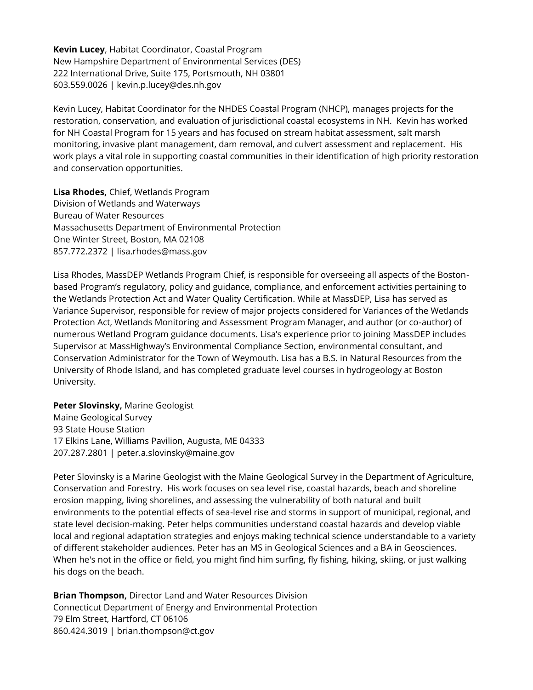**Kevin Lucey**, Habitat Coordinator, Coastal Program New Hampshire Department of Environmental Services (DES) 222 International Drive, Suite 175, Portsmouth, NH 03801 603.559.0026 | kevin.p.lucey@des.nh.gov

Kevin Lucey, Habitat Coordinator for the NHDES Coastal Program (NHCP), manages projects for the restoration, conservation, and evaluation of jurisdictional coastal ecosystems in NH. Kevin has worked for NH Coastal Program for 15 years and has focused on stream habitat assessment, salt marsh monitoring, invasive plant management, dam removal, and culvert assessment and replacement. His work plays a vital role in supporting coastal communities in their identification of high priority restoration and conservation opportunities.

**Lisa Rhodes,** Chief, Wetlands Program Division of Wetlands and Waterways Bureau of Water Resources Massachusetts Department of Environmental Protection One Winter Street, Boston, MA 02108 857.772.2372 | lisa.rhodes@mass.gov

Lisa Rhodes, MassDEP Wetlands Program Chief, is responsible for overseeing all aspects of the Bostonbased Program's regulatory, policy and guidance, compliance, and enforcement activities pertaining to the Wetlands Protection Act and Water Quality Certification. While at MassDEP, Lisa has served as Variance Supervisor, responsible for review of major projects considered for Variances of the Wetlands Protection Act, Wetlands Monitoring and Assessment Program Manager, and author (or co-author) of numerous Wetland Program guidance documents. Lisa's experience prior to joining MassDEP includes Supervisor at MassHighway's Environmental Compliance Section, environmental consultant, and Conservation Administrator for the Town of Weymouth. Lisa has a B.S. in Natural Resources from the University of Rhode Island, and has completed graduate level courses in hydrogeology at Boston University.

**Peter Slovinsky,** Marine Geologist Maine Geological Survey 93 State House Station 17 Elkins Lane, Williams Pavilion, Augusta, ME 04333 207.287.2801 | peter.a.slovinsky@maine.gov

Peter Slovinsky is a Marine Geologist with the Maine Geological Survey in the Department of Agriculture, Conservation and Forestry. His work focuses on sea level rise, coastal hazards, beach and shoreline erosion mapping, living shorelines, and assessing the vulnerability of both natural and built environments to the potential effects of sea-level rise and storms in support of municipal, regional, and state level decision-making. Peter helps communities understand coastal hazards and develop viable local and regional adaptation strategies and enjoys making technical science understandable to a variety of different stakeholder audiences. Peter has an MS in Geological Sciences and a BA in Geosciences. When he's not in the office or field, you might find him surfing, fly fishing, hiking, skiing, or just walking his dogs on the beach.

**Brian Thompson,** Director Land and Water Resources Division Connecticut Department of Energy and Environmental Protection 79 Elm Street, Hartford, CT 06106 860.424.3019 | brian.thompson@ct.gov